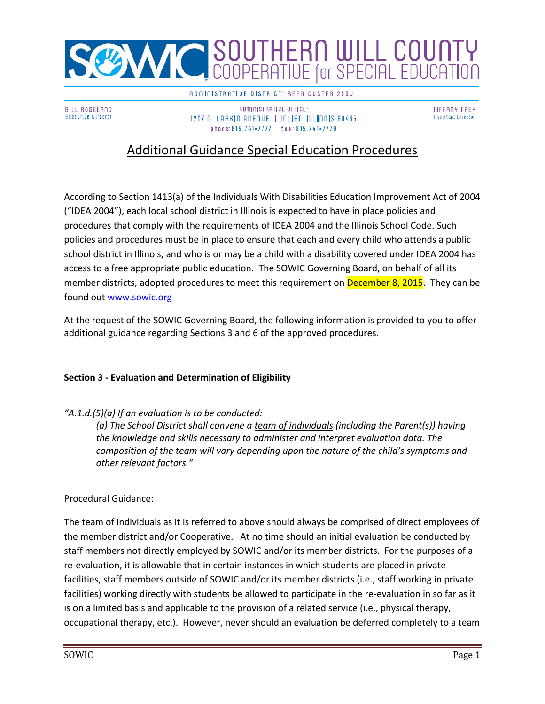

**BILL ROSELAND Executive Director**  ADMINISTRATIVE DISTRICT: REED CUSTER 255U

ADMINISTRATIVE OFFICE: 1207 N. LARKIN AUENUE | JOLIET, ILLINOIS 60435 phone:815.741-7777 fax:815.741-7779

**TIFFANY FREY Assistant Director** 

# Additional Guidance Special Education Procedures

According to Section 1413(a) of the Individuals With Disabilities Education Improvement Act of 2004 ("IDEA 2004"), each local school district in Illinois is expected to have in place policies and procedures that comply with the requirements of IDEA 2004 and the Illinois School Code. Such policies and procedures must be in place to ensure that each and every child who attends a public school district in Illinois, and who is or may be a child with a disability covered under IDEA 2004 has access to a free appropriate public education. The SOWIC Governing Board, on behalf of all its member districts, adopted procedures to meet this requirement on **December 8, 2015**. They can be found out [www.sowic.org](http://www.sowic.org/)

At the request of the SOWIC Governing Board, the following information is provided to you to offer additional guidance regarding Sections 3 and 6 of the approved procedures.

#### **Section 3 - Evaluation and Determination of Eligibility**

#### *"A.1.d.(5)(a) If an evaluation is to be conducted:*

*(a) The School District shall convene a team of individuals (including the Parent(s)) having the knowledge and skills necessary to administer and interpret evaluation data. The composition of the team will vary depending upon the nature of the child's symptoms and other relevant factors."*

#### Procedural Guidance:

The team of individuals as it is referred to above should always be comprised of direct employees of the member district and/or Cooperative. At no time should an initial evaluation be conducted by staff members not directly employed by SOWIC and/or its member districts. For the purposes of a re-evaluation, it is allowable that in certain instances in which students are placed in private facilities, staff members outside of SOWIC and/or its member districts (i.e., staff working in private facilities) working directly with students be allowed to participate in the re-evaluation in so far as it is on a limited basis and applicable to the provision of a related service (i.e., physical therapy, occupational therapy, etc.). However, never should an evaluation be deferred completely to a team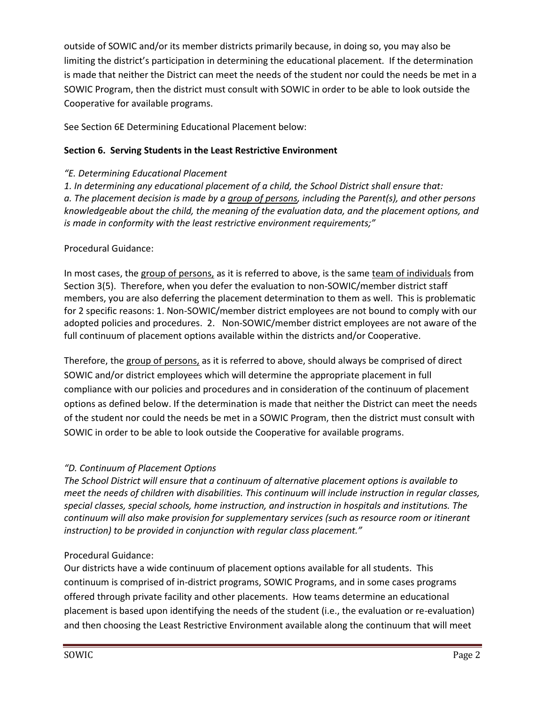outside of SOWIC and/or its member districts primarily because, in doing so, you may also be limiting the district's participation in determining the educational placement. If the determination is made that neither the District can meet the needs of the student nor could the needs be met in a SOWIC Program, then the district must consult with SOWIC in order to be able to look outside the Cooperative for available programs.

See Section 6E Determining Educational Placement below:

### **Section 6. Serving Students in the Least Restrictive Environment**

### *"E. Determining Educational Placement*

*1. In determining any educational placement of a child, the School District shall ensure that: a. The placement decision is made by a group of persons, including the Parent(s), and other persons knowledgeable about the child, the meaning of the evaluation data, and the placement options, and is made in conformity with the least restrictive environment requirements;"*

## Procedural Guidance:

In most cases, the group of persons, as it is referred to above, is the same team of individuals from Section 3(5). Therefore, when you defer the evaluation to non-SOWIC/member district staff members, you are also deferring the placement determination to them as well. This is problematic for 2 specific reasons: 1. Non-SOWIC/member district employees are not bound to comply with our adopted policies and procedures. 2. Non-SOWIC/member district employees are not aware of the full continuum of placement options available within the districts and/or Cooperative.

Therefore, the group of persons, as it is referred to above, should always be comprised of direct SOWIC and/or district employees which will determine the appropriate placement in full compliance with our policies and procedures and in consideration of the continuum of placement options as defined below. If the determination is made that neither the District can meet the needs of the student nor could the needs be met in a SOWIC Program, then the district must consult with SOWIC in order to be able to look outside the Cooperative for available programs.

# *"D. Continuum of Placement Options*

*The School District will ensure that a continuum of alternative placement options is available to meet the needs of children with disabilities. This continuum will include instruction in regular classes, special classes, special schools, home instruction, and instruction in hospitals and institutions. The continuum will also make provision for supplementary services (such as resource room or itinerant instruction) to be provided in conjunction with regular class placement."*

# Procedural Guidance:

Our districts have a wide continuum of placement options available for all students. This continuum is comprised of in-district programs, SOWIC Programs, and in some cases programs offered through private facility and other placements. How teams determine an educational placement is based upon identifying the needs of the student (i.e., the evaluation or re-evaluation) and then choosing the Least Restrictive Environment available along the continuum that will meet